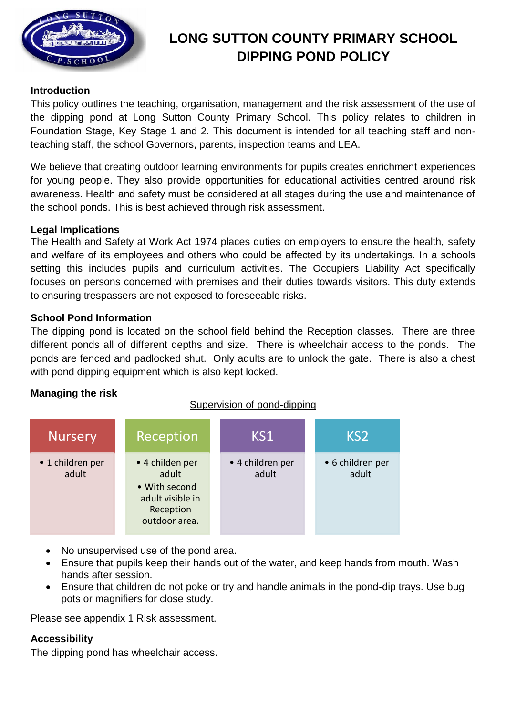

# **LONG SUTTON COUNTY PRIMARY SCHOOL DIPPING POND POLICY**

### **Introduction**

This policy outlines the teaching, organisation, management and the risk assessment of the use of the dipping pond at Long Sutton County Primary School. This policy relates to children in Foundation Stage, Key Stage 1 and 2. This document is intended for all teaching staff and nonteaching staff, the school Governors, parents, inspection teams and LEA.

We believe that creating outdoor learning environments for pupils creates enrichment experiences for young people. They also provide opportunities for educational activities centred around risk awareness. Health and safety must be considered at all stages during the use and maintenance of the school ponds. This is best achieved through risk assessment.

#### **Legal Implications**

The Health and Safety at Work Act 1974 places duties on employers to ensure the health, safety and welfare of its employees and others who could be affected by its undertakings. In a schools setting this includes pupils and curriculum activities. The Occupiers Liability Act specifically focuses on persons concerned with premises and their duties towards visitors. This duty extends to ensuring trespassers are not exposed to foreseeable risks.

#### **School Pond Information**

The dipping pond is located on the school field behind the Reception classes. There are three different ponds all of different depths and size. There is wheelchair access to the ponds. The ponds are fenced and padlocked shut. Only adults are to unlock the gate. There is also a chest with pond dipping equipment which is also kept locked.

### **Managing the risk**

### Supervision of pond-dipping

| <b>Nursery</b>            | Reception                                                                                   | KS1                       | KS <sub>2</sub>           |
|---------------------------|---------------------------------------------------------------------------------------------|---------------------------|---------------------------|
| • 1 children per<br>adult | • 4 childen per<br>adult<br>• With second<br>adult visible in<br>Reception<br>outdoor area. | • 4 children per<br>adult | • 6 children per<br>adult |

- No unsupervised use of the pond area.
- Ensure that pupils keep their hands out of the water, and keep hands from mouth. Wash hands after session.
- Ensure that children do not poke or try and handle animals in the pond-dip trays. Use bug pots or magnifiers for close study.

Please see appendix 1 Risk assessment.

### **Accessibility**

The dipping pond has wheelchair access.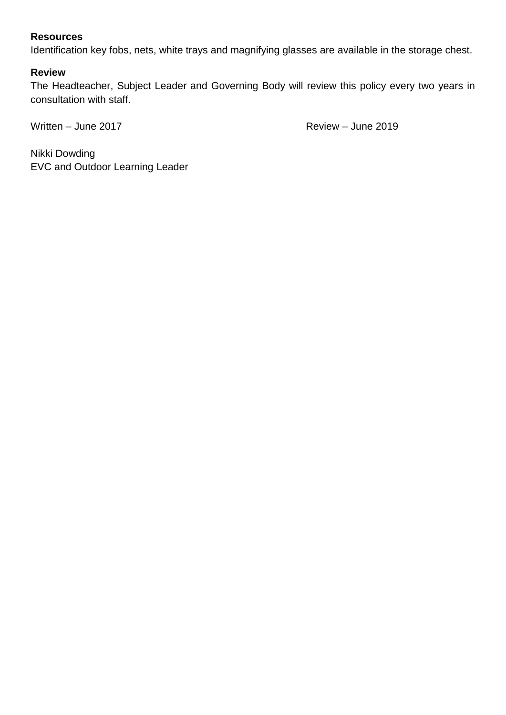## **Resources**

Identification key fobs, nets, white trays and magnifying glasses are available in the storage chest.

#### **Review**

The Headteacher, Subject Leader and Governing Body will review this policy every two years in consultation with staff.

Written – June 2017 **Review – June 2019** 

Nikki Dowding EVC and Outdoor Learning Leader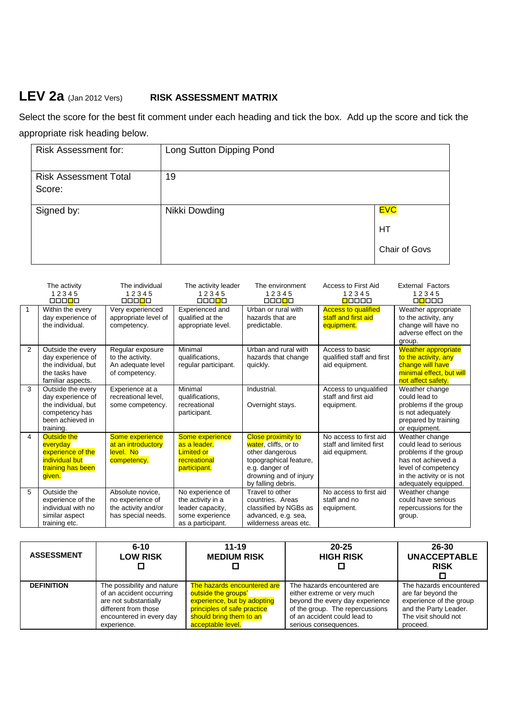# **LEV 2a** (Jan 2012 Vers) **RISK ASSESSMENT MATRIX**

Select the score for the best fit comment under each heading and tick the box. Add up the score and tick the appropriate risk heading below.

| <b>Risk Assessment for:</b>            | Long Sutton Dipping Pond |                                          |
|----------------------------------------|--------------------------|------------------------------------------|
| <b>Risk Assessment Total</b><br>Score: | 19                       |                                          |
| Signed by:                             | Nikki Dowding            | <b>EVC</b><br>HТ<br><b>Chair of Govs</b> |

|              | The activity<br>12345<br>000 <mark>0</mark> 0                                                                    | The individual<br>12345<br>00000                                                  | The activity leader<br>12345<br>000 <mark>0</mark> 0                                              | The environment<br>12345<br>000 <mark>0</mark> 0                                                                                                                 | Access to First Aid<br>12345<br>00000                               | <b>External Factors</b><br>12345<br>00000                                                                                                                          |
|--------------|------------------------------------------------------------------------------------------------------------------|-----------------------------------------------------------------------------------|---------------------------------------------------------------------------------------------------|------------------------------------------------------------------------------------------------------------------------------------------------------------------|---------------------------------------------------------------------|--------------------------------------------------------------------------------------------------------------------------------------------------------------------|
| $\mathbf{1}$ | Within the every<br>day experience of<br>the individual.                                                         | Very experienced<br>appropriate level of<br>competency.                           | Experienced and<br>qualified at the<br>appropriate level.                                         | Urban or rural with<br>hazards that are<br>predictable.                                                                                                          | <b>Access to qualified</b><br>staff and first aid<br>equipment.     | Weather appropriate<br>to the activity, any<br>change will have no<br>adverse effect on the<br>group.                                                              |
| 2            | Outside the every<br>day experience of<br>the individual, but<br>the tasks have<br>familiar aspects.             | Regular exposure<br>to the activity.<br>An adequate level<br>of competency.       | Minimal<br>qualifications,<br>regular participant.                                                | Urban and rural with<br>hazards that change<br>quickly.                                                                                                          | Access to basic<br>qualified staff and first<br>aid equipment.      | <b>Weather appropriate</b><br>to the activity, any<br>change will have<br>minimal effect, but will<br>not affect safety.                                           |
| 3            | Outside the every<br>day experience of<br>the individual, but<br>competency has<br>been achieved in<br>training. | Experience at a<br>recreational level.<br>some competency.                        | Minimal<br>qualifications,<br>recreational<br>participant.                                        | Industrial.<br>Overnight stays.                                                                                                                                  | Access to unqualified<br>staff and first aid<br>equipment.          | Weather change<br>could lead to<br>problems if the group<br>is not adequately<br>prepared by training<br>or equipment.                                             |
| 4            | <b>Outside the</b><br>everyday<br>experience of the<br>individual but<br>training has been<br>given.             | Some experience<br>at an introductory<br>level. No<br>competency.                 | Some experience<br>as a leader.<br><b>Limited or</b><br>recreational<br>participant.              | <b>Close proximity to</b><br>water, cliffs, or to<br>other dangerous<br>topographical feature,<br>e.g. danger of<br>drowning and of injury<br>by falling debris. | No access to first aid<br>staff and limited first<br>aid equipment. | Weather change<br>could lead to serious<br>problems if the group<br>has not achieved a<br>level of competency<br>in the activity or is not<br>adequately equipped. |
| 5            | Outside the<br>experience of the<br>individual with no<br>similar aspect<br>training etc.                        | Absolute novice.<br>no experience of<br>the activity and/or<br>has special needs. | No experience of<br>the activity in a<br>leader capacity,<br>some experience<br>as a participant. | Travel to other<br>countries. Areas<br>classified by NGBs as<br>advanced, e.g. sea,<br>wilderness areas etc.                                                     | No access to first aid<br>staff and no<br>equipment.                | Weather change<br>could have serious<br>repercussions for the<br>group.                                                                                            |

| <b>ASSESSMENT</b> | $6 - 10$<br><b>LOW RISK</b> | $11 - 19$<br><b>MEDIUM RISK</b> | $20 - 25$<br><b>HIGH RISK</b>   | 26-30<br><b>UNACCEPTABLE</b><br><b>RISK</b> |
|-------------------|-----------------------------|---------------------------------|---------------------------------|---------------------------------------------|
| <b>DEFINITION</b> | The possibility and nature  | The hazards encountered are     | The hazards encountered are     | The hazards encountered                     |
|                   | of an accident occurring    | outside the groups'             | either extreme or very much     | are far beyond the                          |
|                   | are not substantially       | experience, but by adopting     | beyond the every day experience | experience of the group                     |
|                   | different from those        | principles of safe practice     | of the group. The repercussions | and the Party Leader.                       |
|                   | encountered in every day    | should bring them to an         | of an accident could lead to    | The visit should not                        |
|                   | experience.                 | acceptable level.               | serious consequences.           | proceed.                                    |